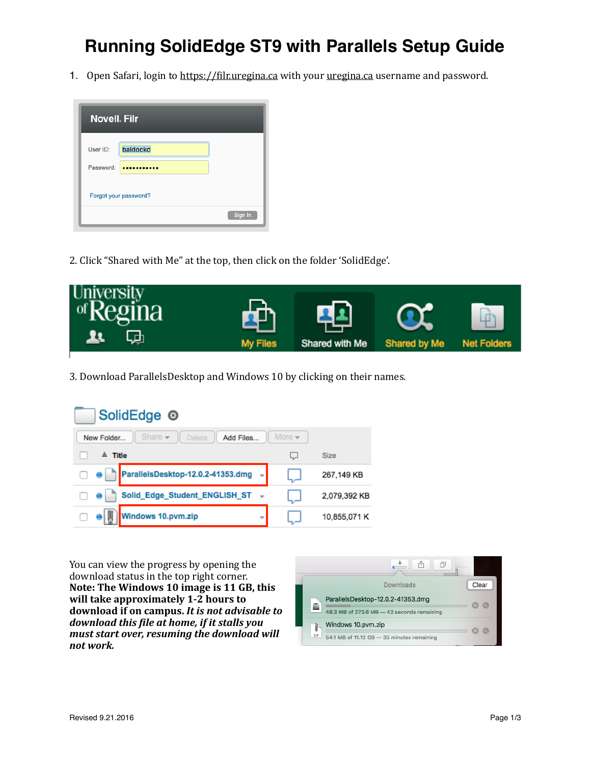## **Running SolidEdge ST9 with Parallels Setup Guide**

1. Open Safari, login to https://filr.uregina.ca with your uregina.ca username and password.



2. Click "Shared with Me" at the top, then click on the folder 'SolidEdge'.



3. Download ParallelsDesktop and Windows 10 by clicking on their names.

| SolidEdge <sup>®</sup>                                                                        |     |              |  |  |
|-----------------------------------------------------------------------------------------------|-----|--------------|--|--|
| More $\blacktriangleright$<br>Share $\rightarrow$<br>Add Files<br>New Folder<br><b>Delete</b> |     |              |  |  |
| $=$ Title                                                                                     | لہا | <b>Size</b>  |  |  |
| ParallelsDesktop-12.0.2-41353.dmg<br>$\rightarrow$                                            |     | 267,149 KB   |  |  |
| Solid_Edge_Student_ENGLISH_ST ~                                                               |     | 2,079,392 KB |  |  |
| 瀾<br>Windows 10.pvm.zip<br>v                                                                  |     | 10,855,071 K |  |  |

You can view the progress by opening the download status in the top right corner. Note: The Windows 10 image is 11 GB, this will take approximately 1-2 hours to download if on campus. It is not advisable to *download this file at home, if it stalls you must start over, resuming the download will not work.* 

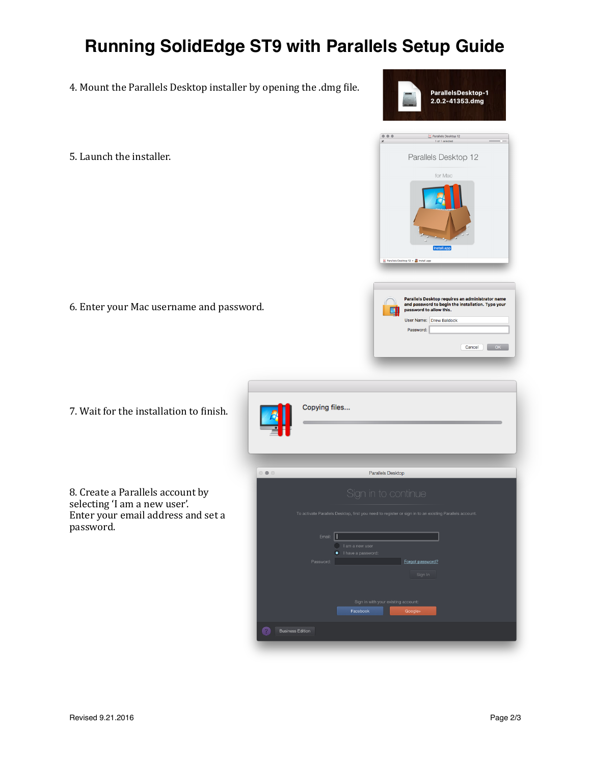## **Running SolidEdge ST9 with Parallels Setup Guide**

- 4. Mount the Parallels Desktop installer by opening the .dmg file.
- 5. Launch the installer.

6. Enter your Mac username and password.

7. Wait for the installation to finish.

8. Create a Parallels account by selecting 'I am a new user'. Enter your email address and set a password. 



 $\begin{array}{c} 0 & 0 & 0 \\ \hline \end{array}$ 

ParallelsDesktop-1 2.0.2-41353.dmg

III Parallels Desktop 12

Parallels Desktop 12 for Mac

Parallels Desktop requires an administrator name<br>and password to begin the installation. Type your<br>password to allow this.

Cancel OK

top 12 >  $\frac{1}{\sqrt{2}}$  Install.

User Name: Drew Baldock Password:

团